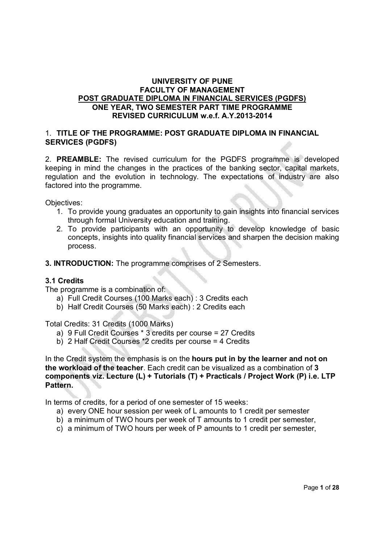#### **UNIVERSITY OF PUNE FACULTY OF MANAGEMENT POST GRADUATE DIPLOMA IN FINANCIAL SERVICES (PGDFS) ONE YEAR, TWO SEMESTER PART TIME PROGRAMME REVISED CURRICULUM w.e.f. A.Y.2013-2014**

#### 1. **TITLE OF THE PROGRAMME: POST GRADUATE DIPLOMA IN FINANCIAL SERVICES (PGDFS)**

2. **PREAMBLE:** The revised curriculum for the PGDFS programme is developed keeping in mind the changes in the practices of the banking sector, capital markets, regulation and the evolution in technology. The expectations of industry are also factored into the programme.

Objectives:

- 1. To provide young graduates an opportunity to gain insights into financial services through formal University education and training.
- 2. To provide participants with an opportunity to develop knowledge of basic concepts, insights into quality financial services and sharpen the decision making process.
- **3. INTRODUCTION:** The programme comprises of 2 Semesters.

### **3.1 Credits**

The programme is a combination of:

- a) Full Credit Courses (100 Marks each) : 3 Credits each
- b) Half Credit Courses (50 Marks each) : 2 Credits each

Total Credits: 31 Credits (1000 Marks)

- a) 9 Full Credit Courses \* 3 credits per course = 27 Credits
- b) 2 Half Credit Courses \*2 credits per course = 4 Credits

In the Credit system the emphasis is on the **hours put in by the learner and not on the workload of the teacher**. Each credit can be visualized as a combination of **3 components viz. Lecture (L) + Tutorials (T) + Practicals / Project Work (P) i.e. LTP Pattern.** 

In terms of credits, for a period of one semester of 15 weeks:

- a) every ONE hour session per week of L amounts to 1 credit per semester
- b) a minimum of TWO hours per week of T amounts to 1 credit per semester,
- c) a minimum of TWO hours per week of P amounts to 1 credit per semester,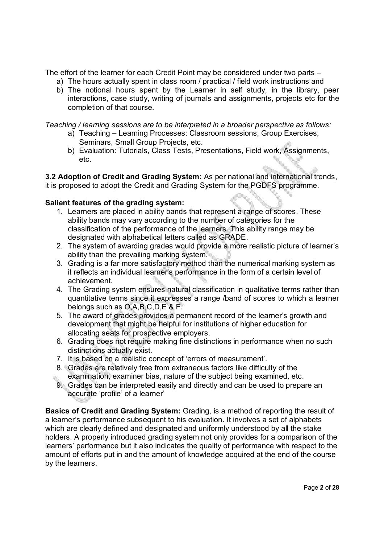The effort of the learner for each Credit Point may be considered under two parts –

- a) The hours actually spent in class room / practical / field work instructions and
- b) The notional hours spent by the Learner in self study, in the library, peer interactions, case study, writing of journals and assignments, projects etc for the completion of that course.

*Teaching / learning sessions are to be interpreted in a broader perspective as follows:* 

- a) Teaching Learning Processes: Classroom sessions, Group Exercises, Seminars, Small Group Projects, etc.
- b) Evaluation: Tutorials, Class Tests, Presentations, Field work, Assignments, etc.

**3.2 Adoption of Credit and Grading System:** As per national and international trends, it is proposed to adopt the Credit and Grading System for the PGDFS programme.

# **Salient features of the grading system:**

- 1. Learners are placed in ability bands that represent a range of scores. These ability bands may vary according to the number of categories for the classification of the performance of the learners. This ability range may be designated with alphabetical letters called as GRADE.
- 2. The system of awarding grades would provide a more realistic picture of learner's ability than the prevailing marking system.
- 3. Grading is a far more satisfactory method than the numerical marking system as it reflects an individual learner's performance in the form of a certain level of achievement.
- 4. The Grading system ensures natural classification in qualitative terms rather than quantitative terms since it expresses a range /band of scores to which a learner belongs such as O,A,B,C,D,E & F.
- 5. The award of grades provides a permanent record of the learner's growth and development that might be helpful for institutions of higher education for allocating seats for prospective employers.
- 6. Grading does not require making fine distinctions in performance when no such distinctions actually exist.
- 7. It is based on a realistic concept of 'errors of measurement'.
- 8. Grades are relatively free from extraneous factors like difficulty of the examination, examiner bias, nature of the subject being examined, etc.
- 9. Grades can be interpreted easily and directly and can be used to prepare an accurate 'profile' of a learner'

**Basics of Credit and Grading System:** Grading, is a method of reporting the result of a learner's performance subsequent to his evaluation. It involves a set of alphabets which are clearly defined and designated and uniformly understood by all the stake holders. A properly introduced grading system not only provides for a comparison of the learners' performance but it also indicates the quality of performance with respect to the amount of efforts put in and the amount of knowledge acquired at the end of the course by the learners.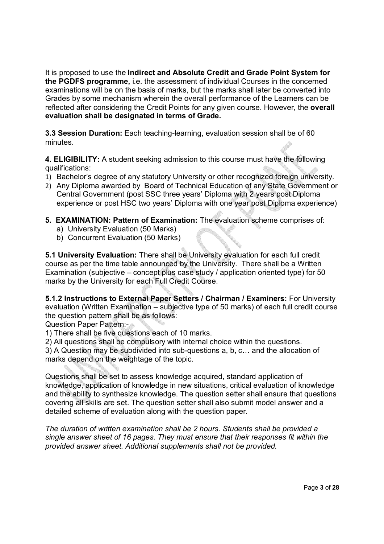It is proposed to use the **Indirect and Absolute Credit and Grade Point System for the PGDFS programme,** i.e. the assessment of individual Courses in the concerned examinations will be on the basis of marks, but the marks shall later be converted into Grades by some mechanism wherein the overall performance of the Learners can be reflected after considering the Credit Points for any given course. However, the **overall evaluation shall be designated in terms of Grade.**

**3.3 Session Duration:** Each teaching-learning, evaluation session shall be of 60 minutes.

**4. ELIGIBILITY:** A student seeking admission to this course must have the following qualifications:

- 1) Bachelor's degree of any statutory University or other recognized foreign university.
- 2) Any Diploma awarded by Board of Technical Education of any State Government or Central Government (post SSC three years' Diploma with 2 years post Diploma experience or post HSC two years' Diploma with one year post Diploma experience)
- **5. EXAMINATION: Pattern of Examination:** The evaluation scheme comprises of:
	- a) University Evaluation (50 Marks)
	- b) Concurrent Evaluation (50 Marks)

**5.1 University Evaluation:** There shall be University evaluation for each full credit course as per the time table announced by the University. There shall be a Written Examination (subjective – concept plus case study / application oriented type) for 50 marks by the University for each Full Credit Course.

**5.1.2 Instructions to External Paper Setters / Chairman / Examiners:** For University evaluation (Written Examination – subjective type of 50 marks) of each full credit course the question pattern shall be as follows:

Question Paper Pattern:-

1) There shall be five questions each of 10 marks.

2) All questions shall be compulsory with internal choice within the questions.

3) A Question may be subdivided into sub-questions a, b, c… and the allocation of marks depend on the weightage of the topic.

Questions shall be set to assess knowledge acquired, standard application of knowledge, application of knowledge in new situations, critical evaluation of knowledge and the ability to synthesize knowledge. The question setter shall ensure that questions covering all skills are set. The question setter shall also submit model answer and a detailed scheme of evaluation along with the question paper.

*The duration of written examination shall be 2 hours. Students shall be provided a single answer sheet of 16 pages. They must ensure that their responses fit within the provided answer sheet. Additional supplements shall not be provided.*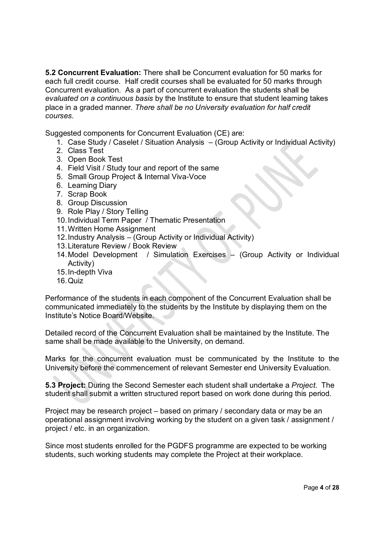**5.2 Concurrent Evaluation:** There shall be Concurrent evaluation for 50 marks for each full credit course. Half credit courses shall be evaluated for 50 marks through Concurrent evaluation. As a part of concurrent evaluation the students shall be *evaluated on a continuous basis* by the Institute to ensure that student learning takes place in a graded manner. *There shall be no University evaluation for half credit courses*.

Suggested components for Concurrent Evaluation (CE) are:

- 1. Case Study / Caselet / Situation Analysis (Group Activity or Individual Activity)
- 2. Class Test
- 3. Open Book Test
- 4. Field Visit / Study tour and report of the same
- 5. Small Group Project & Internal Viva-Voce
- 6. Learning Diary
- 7. Scrap Book
- 8. Group Discussion
- 9. Role Play / Story Telling
- 10.Individual Term Paper / Thematic Presentation
- 11.Written Home Assignment
- 12.Industry Analysis (Group Activity or Individual Activity)
- 13.Literature Review / Book Review
- 14.Model Development / Simulation Exercises (Group Activity or Individual Activity)
- 15.In-depth Viva
- 16.Quiz

Performance of the students in each component of the Concurrent Evaluation shall be communicated immediately to the students by the Institute by displaying them on the Institute's Notice Board/Website.

Detailed record of the Concurrent Evaluation shall be maintained by the Institute. The same shall be made available to the University, on demand.

Marks for the concurrent evaluation must be communicated by the Institute to the University before the commencement of relevant Semester end University Evaluation.

**5.3 Project:** During the Second Semester each student shall undertake a *Project*. The student shall submit a written structured report based on work done during this period.

Project may be research project – based on primary / secondary data or may be an operational assignment involving working by the student on a given task / assignment / project / etc. in an organization.

Since most students enrolled for the PGDFS programme are expected to be working students, such working students may complete the Project at their workplace.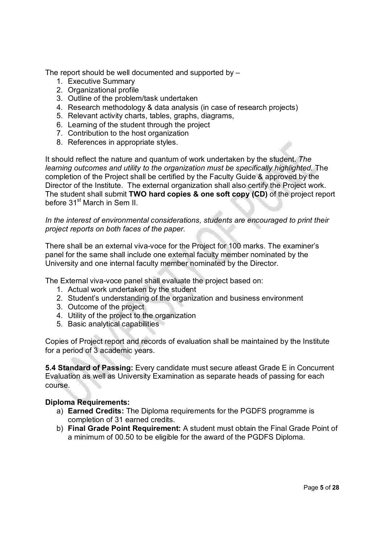The report should be well documented and supported by –

- 1. Executive Summary
- 2. Organizational profile
- 3. Outline of the problem/task undertaken
- 4. Research methodology & data analysis (in case of research projects)
- 5. Relevant activity charts, tables, graphs, diagrams,
- 6. Learning of the student through the project
- 7. Contribution to the host organization
- 8. References in appropriate styles.

It should reflect the nature and quantum of work undertaken by the student. *The learning outcomes and utility to the organization must be specifically highlighted.* The completion of the Project shall be certified by the Faculty Guide & approved by the Director of the Institute. The external organization shall also certify the Project work. The student shall submit **TWO hard copies & one soft copy (CD)** of the project report before 31<sup>st</sup> March in Sem II.

*In the interest of environmental considerations, students are encouraged to print their project reports on both faces of the paper.*

There shall be an external viva-voce for the Project for 100 marks. The examiner's panel for the same shall include one external faculty member nominated by the University and one internal faculty member nominated by the Director.

The External viva-voce panel shall evaluate the project based on:

- 1. Actual work undertaken by the student
- 2. Student's understanding of the organization and business environment
- 3. Outcome of the project
- 4. Utility of the project to the organization
- 5. Basic analytical capabilities

Copies of Project report and records of evaluation shall be maintained by the Institute for a period of 3 academic years.

**5.4 Standard of Passing:** Every candidate must secure atleast Grade E in Concurrent Evaluation as well as University Examination as separate heads of passing for each course.

### **Diploma Requirements:**

- a) **Earned Credits:** The Diploma requirements for the PGDFS programme is completion of 31 earned credits.
- b) **Final Grade Point Requirement:** A student must obtain the Final Grade Point of a minimum of 00.50 to be eligible for the award of the PGDFS Diploma.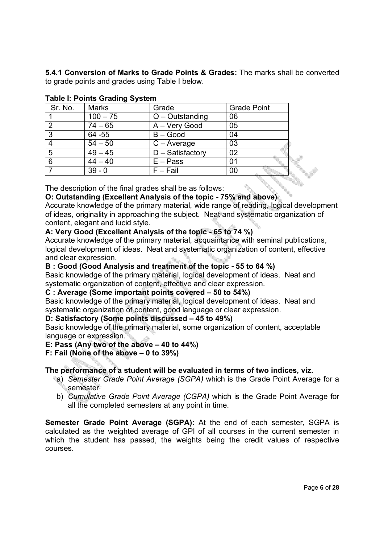**5.4.1 Conversion of Marks to Grade Points & Grades:** The marks shall be converted to grade points and grades using Table I below.

| Sr. No. | <b>Marks</b> | Grade               | <b>Grade Point</b> |  |  |  |
|---------|--------------|---------------------|--------------------|--|--|--|
|         | $100 - 75$   | $O -$ Outstanding   | 06                 |  |  |  |
|         | $74 - 65$    | A - Very Good       | 05                 |  |  |  |
| 3       | 64 - 55      | $B - Good$          | 04                 |  |  |  |
|         | $54 - 50$    | $C - Average$       | 03                 |  |  |  |
| 5       | $49 - 45$    | $D - S$ atisfactory | 02                 |  |  |  |
| 6       | $44 - 40$    | $E - Pass$          | 01                 |  |  |  |
|         | $39 - 0$     | $F - Fail$          | 00                 |  |  |  |

# **Table I: Points Grading System**

The description of the final grades shall be as follows:

### **O: Outstanding (Excellent Analysis of the topic - 75% and above)**

Accurate knowledge of the primary material, wide range of reading, logical development of ideas, originality in approaching the subject. Neat and systematic organization of content, elegant and lucid style.

### **A: Very Good (Excellent Analysis of the topic - 65 to 74 %)**

Accurate knowledge of the primary material, acquaintance with seminal publications, logical development of ideas. Neat and systematic organization of content, effective and clear expression.

#### **B : Good (Good Analysis and treatment of the topic - 55 to 64 %)**

Basic knowledge of the primary material, logical development of ideas. Neat and systematic organization of content, effective and clear expression.

### **C : Average (Some important points covered – 50 to 54%)**

Basic knowledge of the primary material, logical development of ideas. Neat and systematic organization of content, good language or clear expression.

#### **D: Satisfactory (Some points discussed – 45 to 49%)**

Basic knowledge of the primary material, some organization of content, acceptable language or expression.

### **E: Pass (Any two of the above – 40 to 44%)**

# **F: Fail (None of the above – 0 to 39%)**

### **The performance of a student will be evaluated in terms of two indices, viz.**

- a) *Semester Grade Point Average (SGPA)* which is the Grade Point Average for a semester
- b) *Cumulative Grade Point Average (CGPA)* which is the Grade Point Average for all the completed semesters at any point in time.

**Semester Grade Point Average (SGPA):** At the end of each semester, SGPA is calculated as the weighted average of GPI of all courses in the current semester in which the student has passed, the weights being the credit values of respective courses.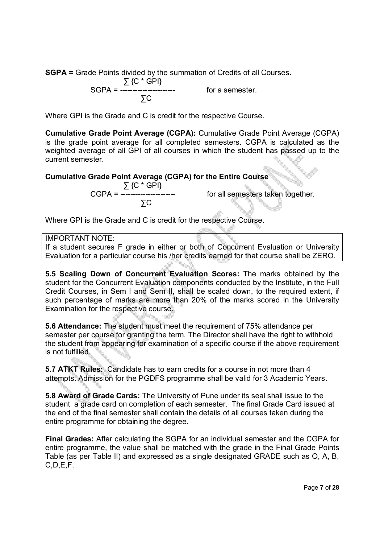**SGPA =** Grade Points divided by the summation of Credits of all Courses.

 ∑ {C \* GPI} SGPA = ---------------------- for a semester. ∑C

Where GPI is the Grade and C is credit for the respective Course.

**Cumulative Grade Point Average (CGPA):** Cumulative Grade Point Average (CGPA) is the grade point average for all completed semesters. CGPA is calculated as the weighted average of all GPI of all courses in which the student has passed up to the current semester.

### **Cumulative Grade Point Average (CGPA) for the Entire Course**

 ∑ {C \* GPI} ∑C

CGPA = ---------------------- for all semesters taken together.

Where GPI is the Grade and C is credit for the respective Course.

IMPORTANT NOTE:

If a student secures F grade in either or both of Concurrent Evaluation or University Evaluation for a particular course his /her credits earned for that course shall be ZERO.

**5.5 Scaling Down of Concurrent Evaluation Scores:** The marks obtained by the student for the Concurrent Evaluation components conducted by the Institute, in the Full Credit Courses, in Sem I and Sem II, shall be scaled down, to the required extent, if such percentage of marks are more than 20% of the marks scored in the University Examination for the respective course.

**5.6 Attendance:** The student must meet the requirement of 75% attendance per semester per course for granting the term. The Director shall have the right to withhold the student from appearing for examination of a specific course if the above requirement is not fulfilled.

**5.7 ATKT Rules:** Candidate has to earn credits for a course in not more than 4 attempts. Admission for the PGDFS programme shall be valid for 3 Academic Years.

**5.8 Award of Grade Cards:** The University of Pune under its seal shall issue to the student a grade card on completion of each semester. The final Grade Card issued at the end of the final semester shall contain the details of all courses taken during the entire programme for obtaining the degree.

**Final Grades:** After calculating the SGPA for an individual semester and the CGPA for entire programme, the value shall be matched with the grade in the Final Grade Points Table (as per Table II) and expressed as a single designated GRADE such as O, A, B, C,D,E,F.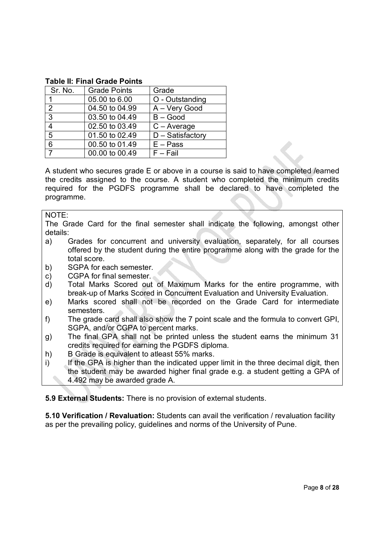#### **Table II: Final Grade Points**

| Sr. No.       | <b>Grade Points</b> | Grade                         |
|---------------|---------------------|-------------------------------|
|               | 05.00 to 6.00       | O - Outstanding               |
| $\mathcal{P}$ | 04.50 to 04.99      | A - Very Good                 |
| 3             | 03.50 to 04.49      | $B - Good$                    |
| 4             | 02.50 to 03.49      | $C - Average$                 |
| 5             | 01.50 to 02.49      | $\overline{D}$ – Satisfactory |
| 6             | 00.50 to 01.49      | $E - Pass$                    |
| 7             | 00.00 to 00.49      | $F - Fail$                    |

A student who secures grade E or above in a course is said to have completed /earned the credits assigned to the course. A student who completed the minimum credits required for the PGDFS programme shall be declared to have completed the programme.

NOTE:

The Grade Card for the final semester shall indicate the following, amongst other details:

- a) Grades for concurrent and university evaluation, separately, for all courses offered by the student during the entire programme along with the grade for the total score.
- b) SGPA for each semester.
- c) CGPA for final semester.
- d) Total Marks Scored out of Maximum Marks for the entire programme, with break-up of Marks Scored in Concurrent Evaluation and University Evaluation.
- e) Marks scored shall not be recorded on the Grade Card for intermediate semesters.
- f) The grade card shall also show the 7 point scale and the formula to convert GPI, SGPA, and/or CGPA to percent marks.
- g) The final GPA shall not be printed unless the student earns the minimum 31 credits required for earning the PGDFS diploma.
- h) B Grade is equivalent to atleast 55% marks.
- i) If the GPA is higher than the indicated upper limit in the three decimal digit, then the student may be awarded higher final grade e.g. a student getting a GPA of 4.492 may be awarded grade A.

**5.9 External Students:** There is no provision of external students.

**5.10 Verification / Revaluation:** Students can avail the verification / revaluation facility as per the prevailing policy, guidelines and norms of the University of Pune.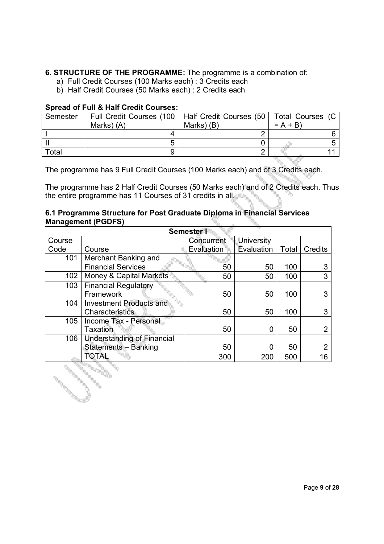### **6. STRUCTURE OF THE PROGRAMME:** The programme is a combination of:

- a) Full Credit Courses (100 Marks each) : 3 Credits each
- b) Half Credit Courses (50 Marks each) : 2 Credits each

#### **Spread of Full & Half Credit Courses:**

| Semester |            | Full Credit Courses (100   Half Credit Courses (50   Total Courses (C |           |  |
|----------|------------|-----------------------------------------------------------------------|-----------|--|
|          | Marks) (A) | Marks) (B)                                                            | $= A + B$ |  |
|          |            |                                                                       |           |  |
|          |            |                                                                       |           |  |
| Total    |            |                                                                       |           |  |

The programme has 9 Full Credit Courses (100 Marks each) and of 3 Credits each.

The programme has 2 Half Credit Courses (50 Marks each) and of 2 Credits each. Thus the entire programme has 11 Courses of 31 credits in all.

#### **6.1 Programme Structure for Post Graduate Diploma in Financial Services Management (PGDFS)**

| <b>Semester I</b> |                                   |            |                   |       |                |  |  |
|-------------------|-----------------------------------|------------|-------------------|-------|----------------|--|--|
| Course            |                                   | Concurrent | <b>University</b> |       |                |  |  |
| Code              | Course                            | Evaluation | Evaluation        | Total | <b>Credits</b> |  |  |
| 101               | Merchant Banking and              |            |                   |       |                |  |  |
|                   | <b>Financial Services</b>         | 50         | 50                | 100   |                |  |  |
| 102               | Money & Capital Markets           | 50         | 50                | 100   | 3              |  |  |
| 103               | <b>Financial Regulatory</b>       |            |                   |       |                |  |  |
|                   | Framework                         | 50         | 50                | 100   |                |  |  |
| 104               | <b>Investment Products and</b>    |            |                   |       |                |  |  |
|                   | <b>Characteristics</b>            | 50         | 50                | 100   |                |  |  |
| 105               | Income Tax - Personal             |            |                   |       |                |  |  |
|                   | Taxation                          | 50         |                   | 50    |                |  |  |
| 106               | <b>Understanding of Financial</b> |            |                   |       |                |  |  |
|                   | Statements - Banking              | 50         |                   | 50    |                |  |  |
|                   | TOTAL                             | 300        | 200               | 500   | 16             |  |  |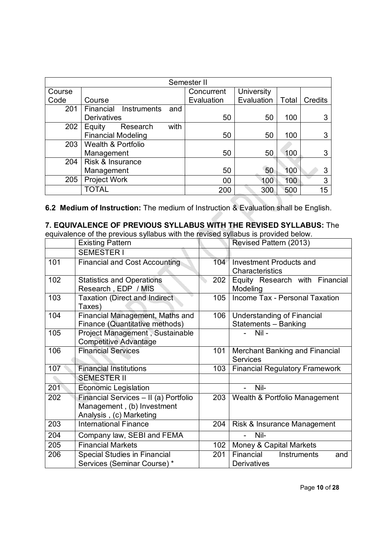|        | Semester II                   |      |            |                   |       |         |  |
|--------|-------------------------------|------|------------|-------------------|-------|---------|--|
| Course |                               |      | Concurrent | <b>University</b> |       |         |  |
| Code   | Course                        |      | Evaluation | Evaluation        | Total | Credits |  |
| 201    | Financial<br>Instruments      | and  |            |                   |       |         |  |
|        | <b>Derivatives</b>            |      | 50         | 50                | 100   | 3       |  |
| 202    | Equity<br>Research            | with |            |                   |       |         |  |
|        | <b>Financial Modeling</b>     |      | 50         | 50                | 100   | 3       |  |
| 203    | <b>Wealth &amp; Portfolio</b> |      |            |                   |       |         |  |
|        | Management                    |      | 50         | 50                | 100   | 3       |  |
| 204    | Risk & Insurance              |      |            |                   |       |         |  |
|        | Management                    |      | 50         | 50                | 100   | 3       |  |
| 205    | Project Work                  |      | 00         | 100               | 100   | 3       |  |
|        | <b>TOTAL</b>                  |      | 200        | 300               | 500   | 15      |  |

**6.2 Medium of Instruction:** The medium of Instruction & Evaluation shall be English.

# **7. EQUIVALENCE OF PREVIOUS SYLLABUS WITH THE REVISED SYLLABUS:** The

equivalence of the previous syllabus with the revised syllabus is provided below.

|     | <b>Existing Pattern</b>                                                                        |     | Revised Pattern (2013)                                |
|-----|------------------------------------------------------------------------------------------------|-----|-------------------------------------------------------|
|     | <b>SEMESTER I</b>                                                                              |     |                                                       |
| 101 | <b>Financial and Cost Accounting</b>                                                           | 104 | <b>Investment Products and</b><br>Characteristics     |
| 102 | <b>Statistics and Operations</b><br>Research, EDP / MIS                                        | 202 | Equity Research with Financial<br>Modeling            |
| 103 | <b>Taxation (Direct and Indirect</b><br>Taxes)                                                 | 105 | Income Tax - Personal Taxation                        |
| 104 | Financial Management, Maths and<br>Finance (Quantitative methods)                              | 106 | Understanding of Financial<br>Statements - Banking    |
| 105 | Project Management, Sustainable<br><b>Competitive Advantage</b>                                |     | $Nil -$                                               |
| 106 | <b>Financial Services</b>                                                                      | 101 | Merchant Banking and Financial<br><b>Services</b>     |
| 107 | <b>Financial Institutions</b>                                                                  | 103 | <b>Financial Regulatory Framework</b>                 |
|     | <b>SEMESTER II</b>                                                                             |     |                                                       |
| 201 | <b>Economic Legislation</b>                                                                    |     | Nil-                                                  |
| 202 | Financial Services - II (a) Portfolio<br>Management, (b) Investment<br>Analysis, (c) Marketing | 203 | Wealth & Portfolio Management                         |
| 203 | <b>International Finance</b>                                                                   | 204 | Risk & Insurance Management                           |
| 204 | Company law, SEBI and FEMA                                                                     |     | Nil-                                                  |
| 205 | <b>Financial Markets</b>                                                                       | 102 | Money & Capital Markets                               |
| 206 | <b>Special Studies in Financial</b><br>Services (Seminar Course)*                              | 201 | Financial<br>Instruments<br>and<br><b>Derivatives</b> |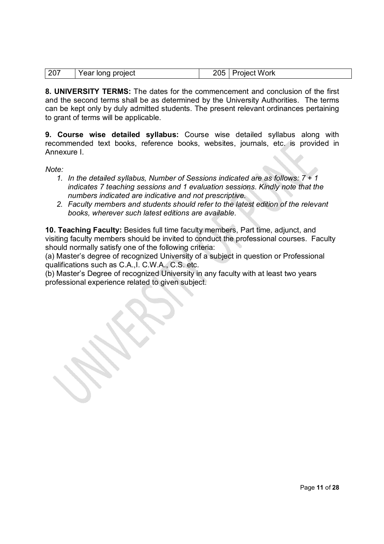| 207 | Year long project | 205   Project Work |
|-----|-------------------|--------------------|

**8. UNIVERSITY TERMS:** The dates for the commencement and conclusion of the first and the second terms shall be as determined by the University Authorities. The terms can be kept only by duly admitted students. The present relevant ordinances pertaining to grant of terms will be applicable.

**9. Course wise detailed syllabus:** Course wise detailed syllabus along with recommended text books, reference books, websites, journals, etc. is provided in Annexure I.

*Note:* 

- *1. In the detailed syllabus, Number of Sessions indicated are as follows: 7 + 1 indicates 7 teaching sessions and 1 evaluation sessions. Kindly note that the numbers indicated are indicative and not prescriptive.*
- *2. Faculty members and students should refer to the latest edition of the relevant books, wherever such latest editions are available.*

**10. Teaching Faculty:** Besides full time faculty members, Part time, adjunct, and visiting faculty members should be invited to conduct the professional courses. Faculty should normally satisfy one of the following criteria:

(a) Master's degree of recognized University of a subject in question or Professional qualifications such as C.A.,I. C.W.A., C.S. etc.

(b) Master's Degree of recognized University in any faculty with at least two years professional experience related to given subject.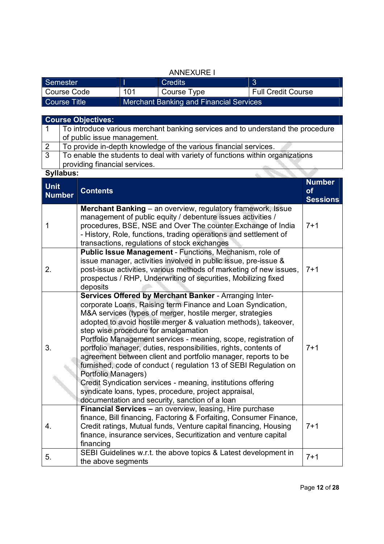|               | <b>ANNEXURE I</b>   |                                                                                                                                                                                                                                                                                                      |     |                                                                                                                                                                                                                                                                                                                                                                                                                                                                                                                                                                                                                                                                                                                                                     |  |                           |                 |
|---------------|---------------------|------------------------------------------------------------------------------------------------------------------------------------------------------------------------------------------------------------------------------------------------------------------------------------------------------|-----|-----------------------------------------------------------------------------------------------------------------------------------------------------------------------------------------------------------------------------------------------------------------------------------------------------------------------------------------------------------------------------------------------------------------------------------------------------------------------------------------------------------------------------------------------------------------------------------------------------------------------------------------------------------------------------------------------------------------------------------------------------|--|---------------------------|-----------------|
|               | Semester            |                                                                                                                                                                                                                                                                                                      | Ш   | <b>Credits</b>                                                                                                                                                                                                                                                                                                                                                                                                                                                                                                                                                                                                                                                                                                                                      |  | 3                         |                 |
|               | <b>Course Code</b>  |                                                                                                                                                                                                                                                                                                      | 101 | Course Type                                                                                                                                                                                                                                                                                                                                                                                                                                                                                                                                                                                                                                                                                                                                         |  | <b>Full Credit Course</b> |                 |
|               | <b>Course Title</b> |                                                                                                                                                                                                                                                                                                      |     | <b>Merchant Banking and Financial Services</b>                                                                                                                                                                                                                                                                                                                                                                                                                                                                                                                                                                                                                                                                                                      |  |                           |                 |
|               |                     |                                                                                                                                                                                                                                                                                                      |     |                                                                                                                                                                                                                                                                                                                                                                                                                                                                                                                                                                                                                                                                                                                                                     |  |                           |                 |
|               |                     | <b>Course Objectives:</b>                                                                                                                                                                                                                                                                            |     |                                                                                                                                                                                                                                                                                                                                                                                                                                                                                                                                                                                                                                                                                                                                                     |  |                           |                 |
| $\mathbf{1}$  |                     |                                                                                                                                                                                                                                                                                                      |     | To introduce various merchant banking services and to understand the procedure                                                                                                                                                                                                                                                                                                                                                                                                                                                                                                                                                                                                                                                                      |  |                           |                 |
|               |                     | of public issue management.                                                                                                                                                                                                                                                                          |     |                                                                                                                                                                                                                                                                                                                                                                                                                                                                                                                                                                                                                                                                                                                                                     |  |                           |                 |
| $\frac{2}{3}$ |                     |                                                                                                                                                                                                                                                                                                      |     | To provide in-depth knowledge of the various financial services.                                                                                                                                                                                                                                                                                                                                                                                                                                                                                                                                                                                                                                                                                    |  |                           |                 |
|               |                     |                                                                                                                                                                                                                                                                                                      |     | To enable the students to deal with variety of functions within organizations                                                                                                                                                                                                                                                                                                                                                                                                                                                                                                                                                                                                                                                                       |  |                           |                 |
|               |                     | providing financial services.                                                                                                                                                                                                                                                                        |     |                                                                                                                                                                                                                                                                                                                                                                                                                                                                                                                                                                                                                                                                                                                                                     |  |                           |                 |
|               | <b>Syllabus:</b>    |                                                                                                                                                                                                                                                                                                      |     |                                                                                                                                                                                                                                                                                                                                                                                                                                                                                                                                                                                                                                                                                                                                                     |  |                           | <b>Number</b>   |
| <b>Unit</b>   |                     | <b>Contents</b>                                                                                                                                                                                                                                                                                      |     |                                                                                                                                                                                                                                                                                                                                                                                                                                                                                                                                                                                                                                                                                                                                                     |  |                           | of              |
|               | <b>Number</b>       |                                                                                                                                                                                                                                                                                                      |     |                                                                                                                                                                                                                                                                                                                                                                                                                                                                                                                                                                                                                                                                                                                                                     |  |                           | <b>Sessions</b> |
| 1             |                     |                                                                                                                                                                                                                                                                                                      |     | <b>Merchant Banking</b> – an overview, regulatory framework, Issue<br>management of public equity / debenture issues activities /<br>procedures, BSE, NSE and Over The counter Exchange of India<br>- History, Role, functions, trading operations and settlement of<br>transactions, regulations of stock exchanges                                                                                                                                                                                                                                                                                                                                                                                                                                |  |                           | $7 + 1$         |
| 2.            |                     | deposits                                                                                                                                                                                                                                                                                             |     | Public Issue Management - Functions, Mechanism, role of<br>issue manager, activities involved in public issue, pre-issue &<br>post-issue activities, various methods of marketing of new issues,<br>prospectus / RHP, Underwriting of securities, Mobilizing fixed                                                                                                                                                                                                                                                                                                                                                                                                                                                                                  |  |                           | $7 + 1$         |
| 3.            |                     | Portfolio Managers)                                                                                                                                                                                                                                                                                  |     | Services Offered by Merchant Banker - Arranging Inter-<br>corporate Loans, Raising term Finance and Loan Syndication,<br>M&A services (types of merger, hostile merger, strategies<br>adopted to avoid hostile merger & valuation methods), takeover,<br>step wise procedure for amalgamation<br>Portfolio Management services - meaning, scope, registration of<br>portfolio manager, duties, responsibilities, rights, contents of<br>agreement between client and portfolio manager, reports to be<br>furnished, code of conduct (regulation 13 of SEBI Regulation on<br>Credit Syndication services - meaning, institutions offering<br>syndicate loans, types, procedure, project appraisal,<br>documentation and security, sanction of a loan |  |                           | $7 + 1$         |
| 4.            |                     | <b>Financial Services - an overview, leasing, Hire purchase</b><br>finance, Bill financing, Factoring & Forfaiting, Consumer Finance,<br>Credit ratings, Mutual funds, Venture capital financing, Housing<br>$7 + 1$<br>finance, insurance services, Securitization and venture capital<br>financing |     |                                                                                                                                                                                                                                                                                                                                                                                                                                                                                                                                                                                                                                                                                                                                                     |  |                           |                 |
| 5.            |                     | the above segments                                                                                                                                                                                                                                                                                   |     | SEBI Guidelines w.r.t. the above topics & Latest development in                                                                                                                                                                                                                                                                                                                                                                                                                                                                                                                                                                                                                                                                                     |  |                           | $7 + 1$         |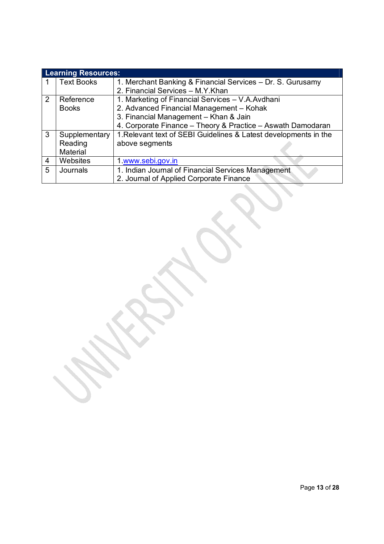|   | <b>Learning Resources:</b> |                                                                  |
|---|----------------------------|------------------------------------------------------------------|
|   | <b>Text Books</b>          | 1. Merchant Banking & Financial Services – Dr. S. Gurusamy       |
|   |                            | 2. Financial Services - M.Y.Khan                                 |
| 2 | Reference                  | 1. Marketing of Financial Services - V.A.Avdhani                 |
|   | <b>Books</b>               | 2. Advanced Financial Management - Kohak                         |
|   |                            | 3. Financial Management - Khan & Jain                            |
|   |                            | 4. Corporate Finance - Theory & Practice - Aswath Damodaran      |
| 3 | Supplementary              | 1. Relevant text of SEBI Guidelines & Latest developments in the |
|   | Reading                    | above segments                                                   |
|   | Material                   |                                                                  |
| 4 | Websites                   | 1 www.sebi.gov.in                                                |
| 5 | Journals                   | 1. Indian Journal of Financial Services Management               |
|   |                            | 2. Journal of Applied Corporate Finance                          |

oria (h. 1979).<br>Gertaerak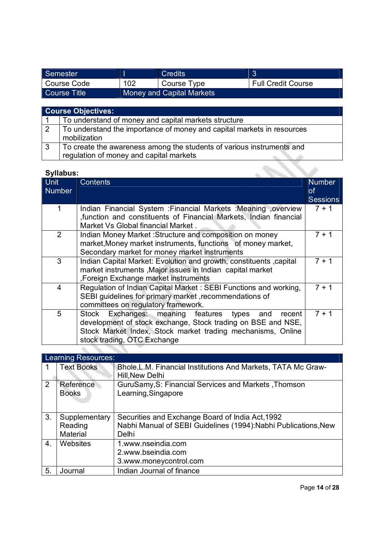| Semester     |     | Credits                          |                           |
|--------------|-----|----------------------------------|---------------------------|
| Course Code  | 102 | Course Type                      | <b>Full Credit Course</b> |
| Course Title |     | <b>Money and Capital Markets</b> |                           |

|                | <b>Course Objectives:</b>                                                                                        |
|----------------|------------------------------------------------------------------------------------------------------------------|
|                | To understand of money and capital markets structure                                                             |
| $\overline{2}$ | To understand the importance of money and capital markets in resources<br>mobilization                           |
| 3              | To create the awareness among the students of various instruments and<br>regulation of money and capital markets |

| Syllabus:             |                                                                                                                                                                                                                           |                                               |  |  |  |
|-----------------------|---------------------------------------------------------------------------------------------------------------------------------------------------------------------------------------------------------------------------|-----------------------------------------------|--|--|--|
| <b>Unit</b><br>Number | <b>Contents</b>                                                                                                                                                                                                           | <b>Number</b><br><b>of</b><br><b>Sessions</b> |  |  |  |
| 1                     | Indian Financial System : Financial Markets : Meaning , overview<br>function and constituents of Financial Markets, Indian financial<br>Market Vs Global financial Market.                                                | $7 + 1$                                       |  |  |  |
| $\overline{2}$        | Indian Money Market: Structure and composition on money<br>market, Money market instruments, functions of money market,<br>Secondary market for money market instruments                                                  | $7 + 1$                                       |  |  |  |
| 3                     | Indian Capital Market: Evolution and growth, constituents ,capital<br>market instruments , Major issues in Indian capital market<br>, Foreign Exchange market instruments                                                 | $7 + 1$                                       |  |  |  |
| 4                     | Regulation of Indian Capital Market: SEBI Functions and working,<br>SEBI guidelines for primary market, recommendations of<br>committees on regulatory framework.                                                         | $7 + 1$                                       |  |  |  |
| 5                     | Exchanges: meaning features types<br>Stock<br>and<br>recent<br>development of stock exchange, Stock trading on BSE and NSE,<br>Stock Market Index, Stock market trading mechanisms, Online<br>stock trading, OTC Exchange | $7 + 1$                                       |  |  |  |

|                  | <b>Learning Resources:</b>           |                                                                                                                              |  |  |  |
|------------------|--------------------------------------|------------------------------------------------------------------------------------------------------------------------------|--|--|--|
|                  | <b>Text Books</b>                    | Bhole, L.M. Financial Institutions And Markets, TATA Mc Graw-<br>Hill, New Delhi                                             |  |  |  |
| $\overline{2}$   | Reference<br><b>Books</b>            | GuruSamy, S: Financial Services and Markets, Thomson<br>Learning, Singapore                                                  |  |  |  |
| 3.               | Supplementary<br>Reading<br>Material | Securities and Exchange Board of India Act, 1992<br>Nabhi Manual of SEBI Guidelines (1994): Nabhi Publications, New<br>Delhi |  |  |  |
| $\overline{4}$ . | Websites                             | 1.www.nseindia.com<br>2.www.bseindia.com<br>3.www.moneycontrol.com                                                           |  |  |  |
| 5.               | Journal                              | Indian Journal of finance                                                                                                    |  |  |  |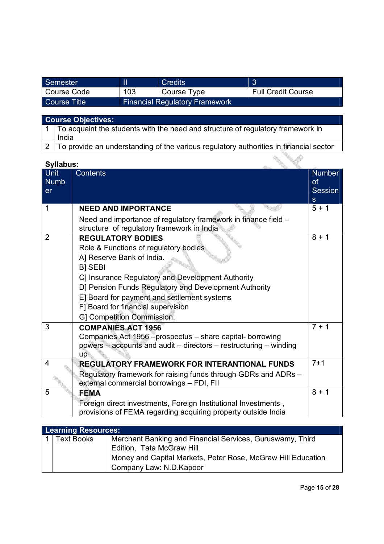| Semester     |     | <b>Credits</b>                        |                           |
|--------------|-----|---------------------------------------|---------------------------|
| Course Code  | 103 | Course Type                           | <b>Full Credit Course</b> |
| Course Title |     | <b>Financial Regulatory Framework</b> |                           |

| <b>Course Objectives:</b>                                                               |  |  |
|-----------------------------------------------------------------------------------------|--|--|
| 1   To acquaint the students with the need and structure of regulatory framework in     |  |  |
| India                                                                                   |  |  |
| 2 To provide an understanding of the various regulatory authorities in financial sector |  |  |

|                                         | Syllabus:                                                                                                                                                                                                                                                                                                                                         |                                     |  |  |  |
|-----------------------------------------|---------------------------------------------------------------------------------------------------------------------------------------------------------------------------------------------------------------------------------------------------------------------------------------------------------------------------------------------------|-------------------------------------|--|--|--|
| <b>Unit</b><br><b>Numb</b><br><b>er</b> | <b>Contents</b>                                                                                                                                                                                                                                                                                                                                   | <b>Number</b><br>of<br>Session<br>S |  |  |  |
| 1                                       | <b>NEED AND IMPORTANCE</b>                                                                                                                                                                                                                                                                                                                        | $5 + 1$                             |  |  |  |
|                                         | Need and importance of regulatory framework in finance field -<br>structure of regulatory framework in India                                                                                                                                                                                                                                      |                                     |  |  |  |
| $\overline{2}$                          | <b>REGULATORY BODIES</b><br>Role & Functions of regulatory bodies<br>A] Reserve Bank of India.<br><b>BI SEBI</b><br>C] Insurance Regulatory and Development Authority<br>D] Pension Funds Regulatory and Development Authority<br>E] Board for payment and settlement systems<br>F] Board for financial supervision<br>G] Competition Commission. | $8 + 1$                             |  |  |  |
| 3                                       | <b>COMPANIES ACT 1956</b><br>Companies Act 1956 – prospectus – share capital- borrowing<br>powers – accounts and audit – directors – restructuring – winding<br>up                                                                                                                                                                                | $7 + 1$                             |  |  |  |
| 4                                       | REGULATORY FRAMEWORK FOR INTERANTIONAL FUNDS<br>Regulatory framework for raising funds through GDRs and ADRs -<br>external commercial borrowings - FDI, FII                                                                                                                                                                                       | $7 + 1$                             |  |  |  |
| 5                                       | <b>FEMA</b>                                                                                                                                                                                                                                                                                                                                       | $\overline{8} + 1$                  |  |  |  |
|                                         | Foreign direct investments, Foreign Institutional Investments,<br>provisions of FEMA regarding acquiring property outside India                                                                                                                                                                                                                   |                                     |  |  |  |

| <b>Learning Resources:</b> |                                                              |  |  |
|----------------------------|--------------------------------------------------------------|--|--|
| <b>Text Books</b>          | Merchant Banking and Financial Services, Guruswamy, Third    |  |  |
|                            | Edition, Tata McGraw Hill                                    |  |  |
|                            | Money and Capital Markets, Peter Rose, McGraw Hill Education |  |  |
|                            | Company Law: N.D.Kapoor                                      |  |  |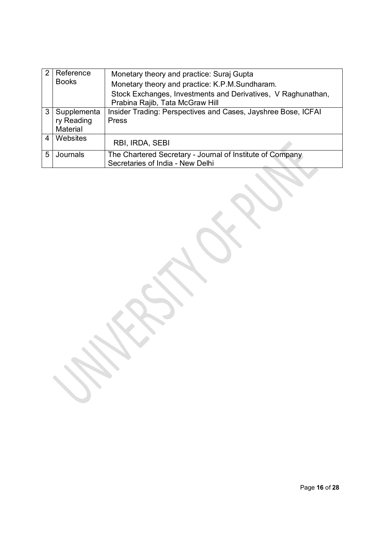|   | Reference<br><b>Books</b>             | Monetary theory and practice: Suraj Gupta<br>Monetary theory and practice: K.P.M.Sundharam.     |
|---|---------------------------------------|-------------------------------------------------------------------------------------------------|
|   |                                       | Stock Exchanges, Investments and Derivatives, V Raghunathan,<br>Prabina Rajib, Tata McGraw Hill |
| 3 | Supplementa<br>ry Reading<br>Material | Insider Trading: Perspectives and Cases, Jayshree Bose, ICFAI<br><b>Press</b>                   |
| 4 | Websites                              | RBI, IRDA, SEBI                                                                                 |
| 5 | Journals                              | The Chartered Secretary - Journal of Institute of Company<br>Secretaries of India - New Delhi   |

I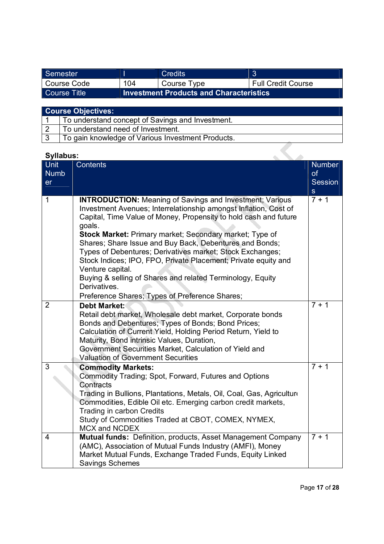| Semester      |     | Credits                                        |                           |
|---------------|-----|------------------------------------------------|---------------------------|
| l Course Code | 104 | Course Type                                    | <b>Full Credit Course</b> |
| Course Title  |     | <b>Investment Products and Characteristics</b> |                           |

| <b>Course Objectives:</b> |  |  |
|---------------------------|--|--|
|                           |  |  |

| To understand concept of Savings and Investment.  |
|---------------------------------------------------|
| To understand need of Investment.                 |
| To gain knowledge of Various Investment Products. |

| <b>Syllabus:</b>                 |                                                                                                                                                                                                                                                                                                                                                                                                                                                                                                                                                                                                                            |                                                       |
|----------------------------------|----------------------------------------------------------------------------------------------------------------------------------------------------------------------------------------------------------------------------------------------------------------------------------------------------------------------------------------------------------------------------------------------------------------------------------------------------------------------------------------------------------------------------------------------------------------------------------------------------------------------------|-------------------------------------------------------|
| <b>Unit</b><br><b>Numb</b><br>er | <b>Contents</b>                                                                                                                                                                                                                                                                                                                                                                                                                                                                                                                                                                                                            | <b>Number</b><br>of<br><b>Session</b><br>$\mathbf{s}$ |
| 1                                | <b>INTRODUCTION:</b> Meaning of Savings and Investment; Various<br>Investment Avenues; Interrelationship amongst Inflation, Cost of<br>Capital, Time Value of Money, Propensity to hold cash and future<br>goals.<br>Stock Market: Primary market; Secondary market; Type of<br>Shares; Share Issue and Buy Back, Debentures and Bonds;<br>Types of Debentures; Derivatives market; Stock Exchanges;<br>Stock Indices; IPO, FPO, Private Placement; Private equity and<br>Venture capital.<br>Buying & selling of Shares and related Terminology, Equity<br>Derivatives.<br>Preference Shares; Types of Preference Shares; | $7 + 1$                                               |
| $\overline{2}$                   | <b>Debt Market:</b><br>Retail debt market, Wholesale debt market, Corporate bonds<br>Bonds and Debentures; Types of Bonds; Bond Prices;<br>Calculation of Current Yield, Holding Period Return, Yield to<br>Maturity, Bond intrinsic Values, Duration,<br>Government Securities Market, Calculation of Yield and<br><b>Valuation of Government Securities</b>                                                                                                                                                                                                                                                              | $\overline{7} + 1$                                    |
| $\overline{3}$<br>$\overline{4}$ | <b>Commodity Markets:</b><br>Commodity Trading; Spot, Forward, Futures and Options<br>Contracts<br>Trading in Bullions, Plantations, Metals, Oil, Coal, Gas, Agriculture<br>Commodities, Edible Oil etc. Emerging carbon credit markets,<br>Trading in carbon Credits<br>Study of Commodities Traded at CBOT, COMEX, NYMEX,<br><b>MCX and NCDEX</b><br>Mutual funds: Definition, products, Asset Management Company                                                                                                                                                                                                        | $7 + 1$<br>$7 + 1$                                    |
|                                  | (AMC), Association of Mutual Funds Industry (AMFI), Money<br>Market Mutual Funds, Exchange Traded Funds, Equity Linked<br><b>Savings Schemes</b>                                                                                                                                                                                                                                                                                                                                                                                                                                                                           |                                                       |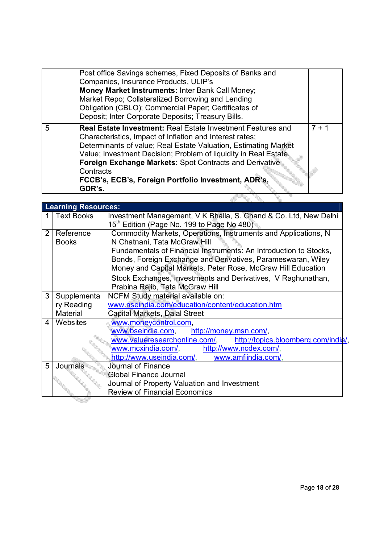|   | Post office Savings schemes, Fixed Deposits of Banks and<br>Companies, Insurance Products, ULIP's<br>Money Market Instruments: Inter Bank Call Money;<br>Market Repo; Collateralized Borrowing and Lending<br>Obligation (CBLO); Commercial Paper; Certificates of<br>Deposit; Inter Corporate Deposits; Treasury Bills.                                                                                              |         |
|---|-----------------------------------------------------------------------------------------------------------------------------------------------------------------------------------------------------------------------------------------------------------------------------------------------------------------------------------------------------------------------------------------------------------------------|---------|
| 5 | <b>Real Estate Investment: Real Estate Investment Features and</b><br>Characteristics, Impact of Inflation and Interest rates;<br>Determinants of value; Real Estate Valuation, Estimating Market<br>Value; Investment Decision; Problem of liquidity in Real Estate.<br><b>Foreign Exchange Markets: Spot Contracts and Derivative</b><br>Contracts<br>FCCB's, ECB's, Foreign Portfolio Investment, ADR's,<br>GDR's. | $7 + 1$ |

| <b>Text Books</b><br>15 <sup>th</sup> Edition (Page No. 199 to Page No 480)<br>$\overline{2}$<br>Commodity Markets, Operations, Instruments and Applications, N<br>Reference<br>N Chatnani, Tata McGraw Hill<br><b>Books</b><br>Fundamentals of Financial Instruments: An Introduction to Stocks,<br>Bonds, Foreign Exchange and Derivatives, Parameswaran, Wiley<br>Money and Capital Markets, Peter Rose, McGraw Hill Education<br>Stock Exchanges, Investments and Derivatives, V Raghunathan,<br>Prabina Rajib, Tata McGraw Hill<br>3<br>NCFM Study material available on:<br>Supplementa<br>www.nseindia.com/education/content/education.htm<br>ry Reading<br>Material<br>Capital Markets, Dalal Street<br>Websites<br>www.moneycontrol.com,<br>4<br>www.bseindia.com, http://money.msn.com/,<br>www.valueresearchonline.com/,<br>www.mcxindia.com/, http://www.ncdex.com/,<br>http://www.useindia.com/, www.amfiindia.com/,<br>5<br><b>Journal of Finance</b><br>Journals<br>Global Finance Journal | <b>Learning Resources:</b> |                                                                  |  |  |
|-----------------------------------------------------------------------------------------------------------------------------------------------------------------------------------------------------------------------------------------------------------------------------------------------------------------------------------------------------------------------------------------------------------------------------------------------------------------------------------------------------------------------------------------------------------------------------------------------------------------------------------------------------------------------------------------------------------------------------------------------------------------------------------------------------------------------------------------------------------------------------------------------------------------------------------------------------------------------------------------------------------|----------------------------|------------------------------------------------------------------|--|--|
|                                                                                                                                                                                                                                                                                                                                                                                                                                                                                                                                                                                                                                                                                                                                                                                                                                                                                                                                                                                                           |                            | Investment Management, V K Bhalla, S. Chand & Co. Ltd, New Delhi |  |  |
|                                                                                                                                                                                                                                                                                                                                                                                                                                                                                                                                                                                                                                                                                                                                                                                                                                                                                                                                                                                                           |                            |                                                                  |  |  |
|                                                                                                                                                                                                                                                                                                                                                                                                                                                                                                                                                                                                                                                                                                                                                                                                                                                                                                                                                                                                           |                            |                                                                  |  |  |
|                                                                                                                                                                                                                                                                                                                                                                                                                                                                                                                                                                                                                                                                                                                                                                                                                                                                                                                                                                                                           |                            |                                                                  |  |  |
|                                                                                                                                                                                                                                                                                                                                                                                                                                                                                                                                                                                                                                                                                                                                                                                                                                                                                                                                                                                                           |                            |                                                                  |  |  |
|                                                                                                                                                                                                                                                                                                                                                                                                                                                                                                                                                                                                                                                                                                                                                                                                                                                                                                                                                                                                           |                            |                                                                  |  |  |
|                                                                                                                                                                                                                                                                                                                                                                                                                                                                                                                                                                                                                                                                                                                                                                                                                                                                                                                                                                                                           |                            |                                                                  |  |  |
|                                                                                                                                                                                                                                                                                                                                                                                                                                                                                                                                                                                                                                                                                                                                                                                                                                                                                                                                                                                                           |                            |                                                                  |  |  |
|                                                                                                                                                                                                                                                                                                                                                                                                                                                                                                                                                                                                                                                                                                                                                                                                                                                                                                                                                                                                           |                            |                                                                  |  |  |
|                                                                                                                                                                                                                                                                                                                                                                                                                                                                                                                                                                                                                                                                                                                                                                                                                                                                                                                                                                                                           |                            |                                                                  |  |  |
|                                                                                                                                                                                                                                                                                                                                                                                                                                                                                                                                                                                                                                                                                                                                                                                                                                                                                                                                                                                                           |                            |                                                                  |  |  |
|                                                                                                                                                                                                                                                                                                                                                                                                                                                                                                                                                                                                                                                                                                                                                                                                                                                                                                                                                                                                           |                            |                                                                  |  |  |
|                                                                                                                                                                                                                                                                                                                                                                                                                                                                                                                                                                                                                                                                                                                                                                                                                                                                                                                                                                                                           |                            |                                                                  |  |  |
|                                                                                                                                                                                                                                                                                                                                                                                                                                                                                                                                                                                                                                                                                                                                                                                                                                                                                                                                                                                                           |                            | http://topics.bloomberg.com/india/,                              |  |  |
|                                                                                                                                                                                                                                                                                                                                                                                                                                                                                                                                                                                                                                                                                                                                                                                                                                                                                                                                                                                                           |                            |                                                                  |  |  |
|                                                                                                                                                                                                                                                                                                                                                                                                                                                                                                                                                                                                                                                                                                                                                                                                                                                                                                                                                                                                           |                            |                                                                  |  |  |
|                                                                                                                                                                                                                                                                                                                                                                                                                                                                                                                                                                                                                                                                                                                                                                                                                                                                                                                                                                                                           |                            |                                                                  |  |  |
|                                                                                                                                                                                                                                                                                                                                                                                                                                                                                                                                                                                                                                                                                                                                                                                                                                                                                                                                                                                                           |                            |                                                                  |  |  |
|                                                                                                                                                                                                                                                                                                                                                                                                                                                                                                                                                                                                                                                                                                                                                                                                                                                                                                                                                                                                           |                            | Journal of Property Valuation and Investment                     |  |  |
| <b>Review of Financial Economics</b>                                                                                                                                                                                                                                                                                                                                                                                                                                                                                                                                                                                                                                                                                                                                                                                                                                                                                                                                                                      |                            |                                                                  |  |  |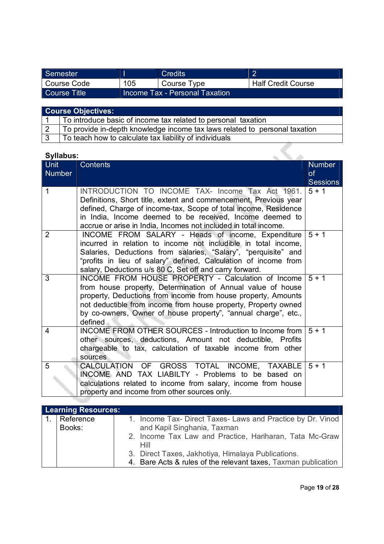| Semester     |     | <b>Credits</b>                 |                           |
|--------------|-----|--------------------------------|---------------------------|
| Course Code  | 105 | Course Type                    | <b>Half Credit Course</b> |
| Course Title |     | Income Tax - Personal Taxation |                           |

| Course Objectives: |                                                                            |  |  |
|--------------------|----------------------------------------------------------------------------|--|--|
|                    | To introduce basic of income tax related to personal taxation              |  |  |
|                    | To provide in-depth knowledge income tax laws related to personal taxation |  |  |
|                    |                                                                            |  |  |

3 To teach how to calculate tax liability of individuals

| <b>Syllabus:</b>             |                                                                                                                                                                                                                                                                                                                                   |                            |
|------------------------------|-----------------------------------------------------------------------------------------------------------------------------------------------------------------------------------------------------------------------------------------------------------------------------------------------------------------------------------|----------------------------|
| <b>Unit</b><br><b>Number</b> | <b>Contents</b>                                                                                                                                                                                                                                                                                                                   | <b>Number</b><br><b>of</b> |
|                              |                                                                                                                                                                                                                                                                                                                                   | <b>Sessions</b>            |
| $\mathbf{1}$                 | INTRODUCTION TO INCOME TAX- Income Tax Act 1961.<br>Definitions, Short title, extent and commencement, Previous year<br>defined, Charge of income-tax, Scope of total income, Residence<br>in India, Income deemed to be received, Income deemed to<br>accrue or arise in India, Incomes not included in total income.            | $5 + 1$                    |
| $\overline{2}$               | INCOME FROM SALARY - Heads of income, Expenditure<br>incurred in relation to income not includible in total income,<br>Salaries, Deductions from salaries, "Salary", "perquisite" and<br>"profits in lieu of salary" defined, Calculation of income from<br>salary, Deductions u/s 80 C, Set off and carry forward.               | $5 + 1$                    |
| 3                            | INCOME FROM HOUSE PROPERTY - Calculation of Income<br>from house property, Determination of Annual value of house<br>property, Deductions from income from house property, Amounts<br>not deductible from income from house property, Property owned<br>by co-owners, Owner of house property", "annual charge", etc.,<br>defined | $5 + 1$                    |
| 4                            | INCOME FROM OTHER SOURCES - Introduction to Income from<br>other sources, deductions, Amount not deductible, Profits<br>chargeable to tax, calculation of taxable income from other<br>sources                                                                                                                                    | $5 + 1$                    |
| 5                            | CALCULATION OF GROSS TOTAL INCOME, TAXABLE<br>INCOME AND TAX LIABILTY - Problems to be based on<br>calculations related to income from salary, income from house<br>property and income from other sources only.                                                                                                                  | $5 + 1$                    |

| <b>Learning Resources:</b> |                                                                |
|----------------------------|----------------------------------------------------------------|
| Reference                  | 1. Income Tax- Direct Taxes- Laws and Practice by Dr. Vinod    |
| Books:                     | and Kapil Singhania, Taxman                                    |
|                            | 2. Income Tax Law and Practice, Hariharan, Tata Mc-Graw        |
|                            | Hill                                                           |
|                            | 3. Direct Taxes, Jakhotiya, Himalaya Publications.             |
|                            | 4. Bare Acts & rules of the relevant taxes, Taxman publication |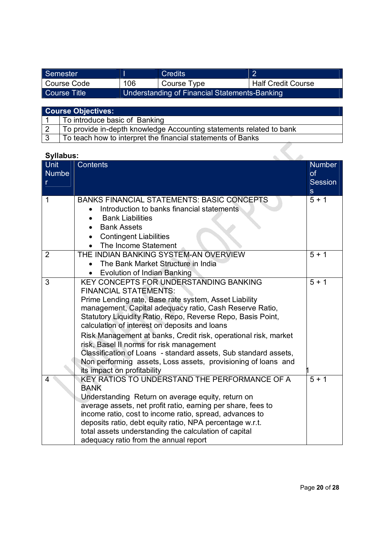| Semester     |     | <b>Credits</b>                                |                           |  |
|--------------|-----|-----------------------------------------------|---------------------------|--|
| Course Code  | 106 | Course Type                                   | <b>Half Credit Course</b> |  |
| Course Title |     | Understanding of Financial Statements-Banking |                           |  |

| <b>Course Objectives:</b> |                                                                     |  |  |
|---------------------------|---------------------------------------------------------------------|--|--|
|                           | To introduce basic of Banking                                       |  |  |
|                           | To provide in-depth knowledge Accounting statements related to bank |  |  |
|                           | To teach how to interpret the financial statements of Banks         |  |  |

| <b>Syllabus:</b> |                                                                                                                                                                                                                                                                                                                                                                                                                                                                                                                                                                                              |                                                                  |
|------------------|----------------------------------------------------------------------------------------------------------------------------------------------------------------------------------------------------------------------------------------------------------------------------------------------------------------------------------------------------------------------------------------------------------------------------------------------------------------------------------------------------------------------------------------------------------------------------------------------|------------------------------------------------------------------|
| Unit<br>Numbe    | <b>Contents</b>                                                                                                                                                                                                                                                                                                                                                                                                                                                                                                                                                                              | <b>Number</b><br>$\mathsf{of}$<br><b>Session</b><br>$\mathbf{s}$ |
| 1                | <b>BANKS FINANCIAL STATEMENTS: BASIC CONCEPTS</b><br>Introduction to banks financial statements<br><b>Bank Liabilities</b><br><b>Bank Assets</b><br><b>Contingent Liabilities</b><br>The Income Statement                                                                                                                                                                                                                                                                                                                                                                                    | $5 + 1$                                                          |
| $\overline{2}$   | THE INDIAN BANKING SYSTEM-AN OVERVIEW<br>The Bank Market Structure in India<br><b>Evolution of Indian Banking</b>                                                                                                                                                                                                                                                                                                                                                                                                                                                                            | $5 + 1$                                                          |
| 3                | KEY CONCEPTS FOR UNDERSTANDING BANKING<br><b>FINANCIAL STATEMENTS:</b><br>Prime Lending rate, Base rate system, Asset Liability<br>management, Capital adequacy ratio, Cash Reserve Ratio,<br>Statutory Liquidity Ratio, Repo, Reverse Repo, Basis Point,<br>calculation of interest on deposits and loans<br>Risk Management at banks, Credit risk, operational risk, market<br>risk, Basel II norms for risk management<br>Classification of Loans - standard assets, Sub standard assets,<br>Non performing assets, Loss assets, provisioning of loans and<br>its impact on profitability | $5 + 1$                                                          |
| 4                | KEY RATIOS TO UNDERSTAND THE PERFORMANCE OF A<br><b>BANK</b><br>Understanding Return on average equity, return on<br>average assets, net profit ratio, earning per share, fees to<br>income ratio, cost to income ratio, spread, advances to<br>deposits ratio, debt equity ratio, NPA percentage w.r.t.<br>total assets understanding the calculation of capital<br>adequacy ratio from the annual report                                                                                                                                                                                   | $5 + 1$                                                          |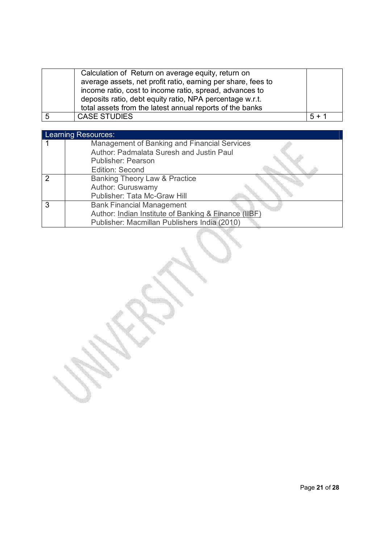|   | Calculation of Return on average equity, return on<br>average assets, net profit ratio, earning per share, fees to<br>income ratio, cost to income ratio, spread, advances to<br>deposits ratio, debt equity ratio, NPA percentage w.r.t.<br>total assets from the latest annual reports of the banks |         |
|---|-------------------------------------------------------------------------------------------------------------------------------------------------------------------------------------------------------------------------------------------------------------------------------------------------------|---------|
| 5 | <b>CASE STUDIES</b>                                                                                                                                                                                                                                                                                   | $5 + 1$ |

|               | Learning Resources:                                  |
|---------------|------------------------------------------------------|
|               | Management of Banking and Financial Services         |
|               | Author: Padmalata Suresh and Justin Paul             |
|               | <b>Publisher: Pearson</b>                            |
|               | Edition: Second                                      |
| $\mathcal{P}$ | Banking Theory Law & Practice                        |
|               | Author: Guruswamy                                    |
|               | Publisher: Tata Mc-Graw Hill                         |
| -3            | <b>Bank Financial Management</b>                     |
|               | Author: Indian Institute of Banking & Finance (IIBF) |
|               | Publisher: Macmillan Publishers India (2010)         |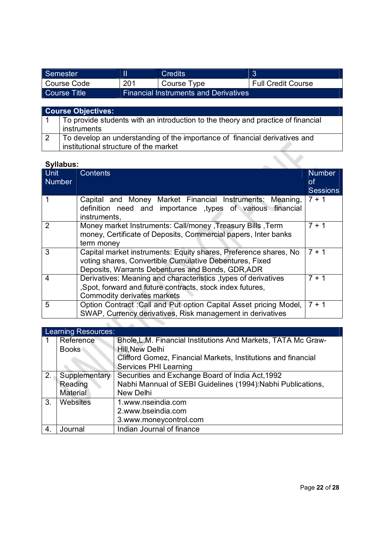| Semester     |     | Credits                                      |                           |
|--------------|-----|----------------------------------------------|---------------------------|
| Course Code  | 201 | Course Type                                  | <b>Full Credit Course</b> |
| Course Title |     | <b>Financial Instruments and Derivatives</b> |                           |

# **Course Objectives:**

| To provide students with an introduction to the theory and practice of financial |
|----------------------------------------------------------------------------------|
| instruments                                                                      |
| To develop an understanding of the importance of financial derivatives and       |
| institutional structure of the market                                            |

| <b>Unit</b><br><b>Contents</b><br><b>Number</b>                                                                                                                                       | <b>Number</b>         |
|---------------------------------------------------------------------------------------------------------------------------------------------------------------------------------------|-----------------------|
|                                                                                                                                                                                       | 0f<br><b>Sessions</b> |
| Capital and Money Market Financial Instruments: Meaning,<br>definition need and importance types of various financial<br>instruments.                                                 | $7 + 1$               |
| Money market Instruments: Call/money , Treasury Bills , Term<br>2<br>money, Certificate of Deposits, Commercial papers, Inter banks<br>term money                                     | $7 + 1$               |
| Capital market instruments: Equity shares, Preference shares, No<br>3<br>voting shares, Convertible Cumulative Debentures, Fixed<br>Deposits, Warrants Debentures and Bonds, GDR, ADR | $7 + 1$               |
| Derivatives: Meaning and characteristics, types of derivatives<br>4<br>, Spot, forward and future contracts, stock index futures,<br>Commodity derivates markets                      | 7 + 1                 |
| 5<br>Option Contract : Call and Put option Capital Asset pricing Model,<br>SWAP, Currency derivatives, Risk management in derivatives                                                 | $7 + 1$               |

|     | Learning Resources: |                                                               |  |  |
|-----|---------------------|---------------------------------------------------------------|--|--|
|     | Reference           | Bhole, L.M. Financial Institutions And Markets, TATA Mc Graw- |  |  |
|     | <b>Books</b>        | Hill, New Delhi                                               |  |  |
|     |                     | Clifford Gomez, Financial Markets, Institutions and financial |  |  |
|     |                     | Services PHI Learning                                         |  |  |
| 2.4 | Supplementary       | Securities and Exchange Board of India Act, 1992              |  |  |
|     | Reading             | Nabhi Mannual of SEBI Guidelines (1994): Nabhi Publications,  |  |  |
|     | Material            | New Delhi                                                     |  |  |
| 3.  | Websites            | 1.www.nseindia.com                                            |  |  |
|     |                     | 2.www.bseindia.com                                            |  |  |
|     |                     | 3.www.moneycontrol.com                                        |  |  |
| 4.  | Journal             | Indian Journal of finance                                     |  |  |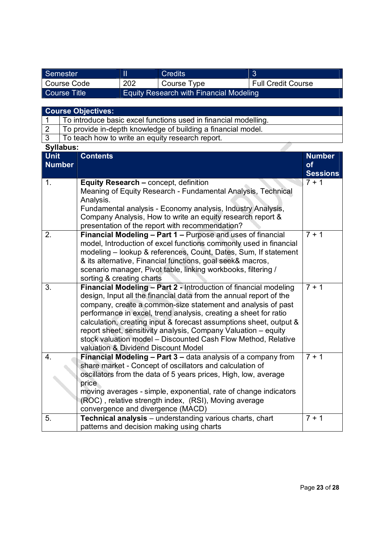| Semester     |     | Credits                                        |                           |
|--------------|-----|------------------------------------------------|---------------------------|
| Course Code  | 202 | Course Type                                    | <b>Full Credit Course</b> |
| Course Title |     | <b>Equity Research with Financial Modeling</b> |                           |

# **Course Objectives:**

| To introduce basic excel functions used in financial modelling. |
|-----------------------------------------------------------------|
| To provide in-depth knowledge of building a financial model.    |

3 To teach how to write an equity research report.

| <b>Syllabus:</b> |                                                                                                                                                                                                                                                                                                                                                                                                                                                                                                                            |                 |
|------------------|----------------------------------------------------------------------------------------------------------------------------------------------------------------------------------------------------------------------------------------------------------------------------------------------------------------------------------------------------------------------------------------------------------------------------------------------------------------------------------------------------------------------------|-----------------|
| <b>Unit</b>      | <b>Contents</b>                                                                                                                                                                                                                                                                                                                                                                                                                                                                                                            | <b>Number</b>   |
| <b>Number</b>    |                                                                                                                                                                                                                                                                                                                                                                                                                                                                                                                            | of              |
|                  |                                                                                                                                                                                                                                                                                                                                                                                                                                                                                                                            | <b>Sessions</b> |
| 1.               | Equity Research - concept, definition<br>Meaning of Equity Research - Fundamental Analysis, Technical<br>Analysis.<br>Fundamental analysis - Economy analysis, Industry Analysis,<br>Company Analysis, How to write an equity research report &<br>presentation of the report with recommendation?                                                                                                                                                                                                                         | $7 + 1$         |
| 2.               | Financial Modeling - Part 1 - Purpose and uses of financial<br>model, Introduction of excel functions commonly used in financial<br>modeling - lookup & references, Count, Dates, Sum, If statement<br>& its alternative, Financial functions, goal seek& macros,<br>scenario manager, Pivot table, linking workbooks, filtering /<br>sorting & creating charts                                                                                                                                                            | $7 + 1$         |
| 3.               | Financial Modeling - Part 2 - Introduction of financial modeling<br>design, Input all the financial data from the annual report of the<br>company, create a common-size statement and analysis of past<br>performance in excel, trend analysis, creating a sheet for ratio<br>calculation, creating input & forecast assumptions sheet, output &<br>report sheet, sensitivity analysis, Company Valuation - equity<br>stock valuation model - Discounted Cash Flow Method, Relative<br>valuation & Dividend Discount Model | $7 + 1$         |
| 4.               | Financial Modeling - Part 3 - data analysis of a company from<br>share market - Concept of oscillators and calculation of<br>oscillators from the data of 5 years prices, High, low, average<br>price<br>moving averages - simple, exponential, rate of change indicators<br>(ROC), relative strength index, (RSI), Moving average<br>convergence and divergence (MACD)                                                                                                                                                    | $7 + 1$         |
| 5.               | Technical analysis - understanding various charts, chart<br>patterns and decision making using charts                                                                                                                                                                                                                                                                                                                                                                                                                      | $7 + 1$         |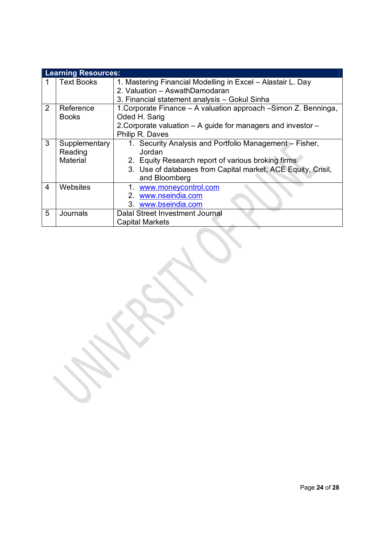|   | <b>Learning Resources:</b> |                                                                 |  |  |
|---|----------------------------|-----------------------------------------------------------------|--|--|
|   | <b>Text Books</b>          | 1. Mastering Financial Modelling in Excel - Alastair L. Day     |  |  |
|   |                            | 2. Valuation - AswathDamodaran                                  |  |  |
|   |                            | 3. Financial statement analysis - Gokul Sinha                   |  |  |
| 2 | Reference                  | 1. Corporate Finance - A valuation approach -Simon Z. Benninga, |  |  |
|   | <b>Books</b>               | Oded H. Sarig                                                   |  |  |
|   |                            | 2. Corporate valuation - A guide for managers and investor -    |  |  |
|   |                            | Philip R. Daves                                                 |  |  |
| 3 | Supplementary              | 1. Security Analysis and Portfolio Management - Fisher,         |  |  |
|   | Reading                    | Jordan                                                          |  |  |
|   | Material                   | 2. Equity Research report of various broking firms              |  |  |
|   |                            | 3. Use of databases from Capital market, ACE Equity, Crisil,    |  |  |
|   |                            | and Bloomberg                                                   |  |  |
| 4 | Websites                   | 1. www.moneycontrol.com                                         |  |  |
|   |                            | 2. www.nseindia.com                                             |  |  |
|   |                            | 3. www.bseindia.com                                             |  |  |
| 5 | Journals                   | Dalal Street Investment Journal                                 |  |  |
|   |                            | <b>Capital Markets</b>                                          |  |  |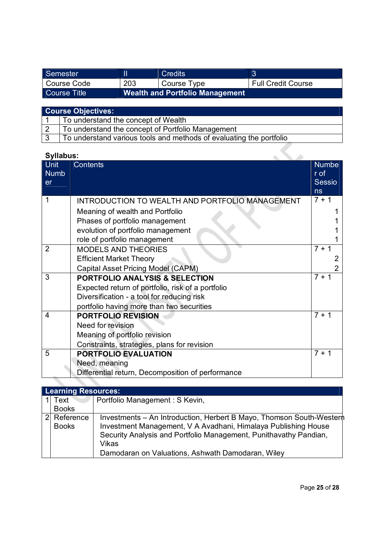| Semester     |     | <b>Credits</b>                  |                           |
|--------------|-----|---------------------------------|---------------------------|
| Course Code  | 203 | Course Type                     | <b>Full Credit Course</b> |
| Course Title |     | Wealth and Portfolio Management |                           |

| <b>Course Objectives:</b> |                                                                     |  |
|---------------------------|---------------------------------------------------------------------|--|
|                           | To understand the concept of Wealth                                 |  |
| $\overline{2}$            | To understand the concept of Portfolio Management                   |  |
| । २                       | To understand various tools and methods of evaluating the portfolio |  |

VI.

| <b>Syllabus:</b>        |                                                   |                |
|-------------------------|---------------------------------------------------|----------------|
| Unit                    | <b>Contents</b>                                   | <b>Numbe</b>   |
| <b>Numb</b>             |                                                   | r of           |
| er                      |                                                   | <b>Sessio</b>  |
|                         |                                                   | ns             |
| 1                       | INTRODUCTION TO WEALTH AND PORTFOLIO MANAGEMENT   | $7 + 1$        |
|                         | Meaning of wealth and Portfolio                   |                |
|                         | Phases of portfolio management                    |                |
|                         | evolution of portfolio management                 |                |
|                         | role of portfolio management                      |                |
| $\overline{2}$          | <b>MODELS AND THEORIES</b>                        | $7 + 1$        |
|                         | <b>Efficient Market Theory</b>                    | 2              |
|                         | Capital Asset Pricing Model (CAPM)                | $\overline{2}$ |
| 3                       | <b>PORTFOLIO ANALYSIS &amp; SELECTION</b>         | $7 + 1$        |
|                         | Expected return of portfolio, risk of a portfolio |                |
|                         | Diversification - a tool for reducing risk        |                |
|                         | portfolio having more than two securities         |                |
| $\overline{\mathbf{4}}$ | <b>PORTFOLIO REVISION</b>                         | $7 + 1$        |
|                         | Need for revision                                 |                |
|                         | Meaning of portfolio revision                     |                |
|                         | Constraints, strategies, plans for revision       |                |
| 5                       | PORTFOLIO EVALUATION                              | $7 + 1$        |
|                         | Need, meaning                                     |                |
|                         | Differential return, Decomposition of performance |                |

|               | <b>Learning Resources:</b> |                                                                                                                                                                                                                     |  |  |
|---------------|----------------------------|---------------------------------------------------------------------------------------------------------------------------------------------------------------------------------------------------------------------|--|--|
|               | Text <sup>®</sup>          | Portfolio Management : S Kevin,                                                                                                                                                                                     |  |  |
|               | <b>Books</b>               |                                                                                                                                                                                                                     |  |  |
| $\mathcal{P}$ | Reference<br><b>Books</b>  | Investments – An Introduction, Herbert B Mayo, Thomson South-Wester<br>Investment Management, V A Avadhani, Himalaya Publishing House<br>Security Analysis and Portfolio Management, Punithavathy Pandian,<br>Vikas |  |  |
|               |                            | Damodaran on Valuations, Ashwath Damodaran, Wiley                                                                                                                                                                   |  |  |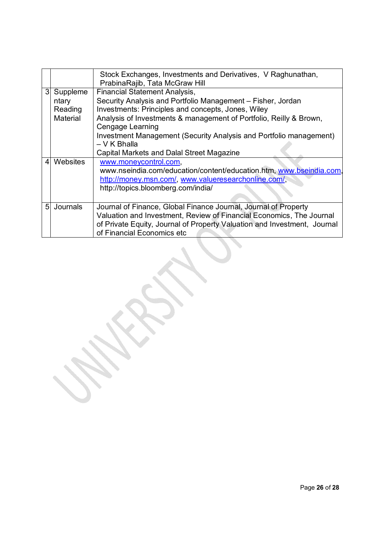|                |                              | Stock Exchanges, Investments and Derivatives, V Raghunathan,<br>PrabinaRajib, Tata McGraw Hill                                                                                                                                                    |
|----------------|------------------------------|---------------------------------------------------------------------------------------------------------------------------------------------------------------------------------------------------------------------------------------------------|
| 3              | Suppleme<br>ntary<br>Reading | <b>Financial Statement Analysis,</b><br>Security Analysis and Portfolio Management - Fisher, Jordan<br>Investments: Principles and concepts, Jones, Wiley                                                                                         |
|                | Material                     | Analysis of Investments & management of Portfolio, Reilly & Brown,<br>Cengage Learning                                                                                                                                                            |
|                |                              | Investment Management (Security Analysis and Portfolio management)<br>$-V$ K Bhalla                                                                                                                                                               |
|                |                              | Capital Markets and Dalal Street Magazine                                                                                                                                                                                                         |
| 4              | Websites                     | www.moneycontrol.com,<br>www.nseindia.com/education/content/education.htm, www.bseindia.com,<br>http://money.msn.com/, www.valueresearchonline.com/,<br>http://topics.bloomberg.com/india/                                                        |
| 5 <sup>1</sup> | Journals                     | Journal of Finance, Global Finance Journal, Journal of Property<br>Valuation and Investment, Review of Financial Economics, The Journal<br>of Private Equity, Journal of Property Valuation and Investment, Journal<br>of Financial Economics etc |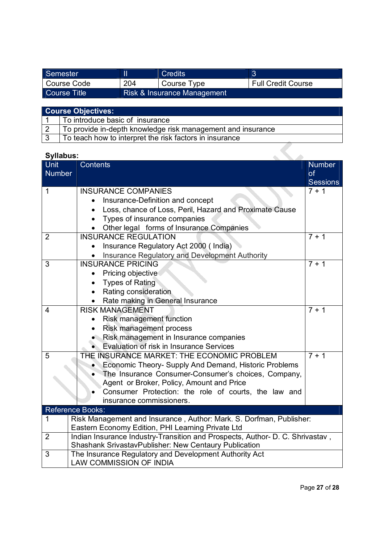| Semester     |     | Credits                     |                           |
|--------------|-----|-----------------------------|---------------------------|
| Course Code  | 204 | Course Type                 | <b>Full Credit Course</b> |
| Course Title |     | Risk & Insurance Management |                           |

| <b>Course Objectives:</b> |                                                             |  |
|---------------------------|-------------------------------------------------------------|--|
|                           | To introduce basic of insurance                             |  |
|                           | To provide in-depth knowledge risk management and insurance |  |
|                           | To teach how to interpret the risk factors in insurance     |  |

| Syllabus:                                           |                                                                               |                 |  |  |  |
|-----------------------------------------------------|-------------------------------------------------------------------------------|-----------------|--|--|--|
| Unit                                                | <b>Contents</b>                                                               | <b>Number</b>   |  |  |  |
| <b>Number</b>                                       |                                                                               | <b>of</b>       |  |  |  |
|                                                     |                                                                               | <b>Sessions</b> |  |  |  |
| $\mathbf 1$                                         | <b>INSURANCE COMPANIES</b>                                                    | $7 + 1$         |  |  |  |
|                                                     | Insurance-Definition and concept                                              |                 |  |  |  |
|                                                     | Loss, chance of Loss, Peril, Hazard and Proximate Cause                       |                 |  |  |  |
|                                                     | Types of insurance companies                                                  |                 |  |  |  |
|                                                     | Other legal forms of Insurance Companies                                      |                 |  |  |  |
| $\overline{2}$                                      | <b>INSURANCE REGULATION</b>                                                   | $7 + 1$         |  |  |  |
|                                                     | Insurance Regulatory Act 2000 (India)                                         |                 |  |  |  |
|                                                     | Insurance Regulatory and Development Authority                                |                 |  |  |  |
| 3                                                   | <b>INSURANCE PRICING</b>                                                      | $7 + 1$         |  |  |  |
|                                                     | Pricing objective                                                             |                 |  |  |  |
|                                                     | <b>Types of Rating</b>                                                        |                 |  |  |  |
|                                                     | Rating consideration                                                          |                 |  |  |  |
|                                                     | Rate making in General Insurance                                              |                 |  |  |  |
| $\overline{4}$                                      | <b>RISK MANAGEMENT</b>                                                        | $7 + 1$         |  |  |  |
|                                                     | Risk management function                                                      |                 |  |  |  |
|                                                     | Risk management process                                                       |                 |  |  |  |
|                                                     | Risk management in Insurance companies                                        |                 |  |  |  |
|                                                     | Evaluation of risk in Insurance Services                                      |                 |  |  |  |
| 5                                                   | THE INSURANCE MARKET: THE ECONOMIC PROBLEM                                    | $7 + 1$         |  |  |  |
|                                                     | Economic Theory- Supply And Demand, Historic Problems                         |                 |  |  |  |
| The Insurance Consumer-Consumer's choices, Company, |                                                                               |                 |  |  |  |
|                                                     | Agent or Broker, Policy, Amount and Price                                     |                 |  |  |  |
|                                                     | Consumer Protection: the role of courts, the law and                          |                 |  |  |  |
|                                                     | insurance commissioners.                                                      |                 |  |  |  |
| <b>Reference Books:</b>                             |                                                                               |                 |  |  |  |
| 1                                                   | Risk Management and Insurance, Author: Mark. S. Dorfman, Publisher:           |                 |  |  |  |
|                                                     | Eastern Economy Edition, PHI Learning Private Ltd                             |                 |  |  |  |
| $\overline{2}$                                      | Indian Insurance Industry-Transition and Prospects, Author- D. C. Shrivastav, |                 |  |  |  |
|                                                     | Shashank SrivastavPublisher: New Centaury Publication                         |                 |  |  |  |
| $\overline{3}$                                      | The Insurance Regulatory and Development Authority Act                        |                 |  |  |  |
|                                                     | <b>LAW COMMISSION OF INDIA</b>                                                |                 |  |  |  |